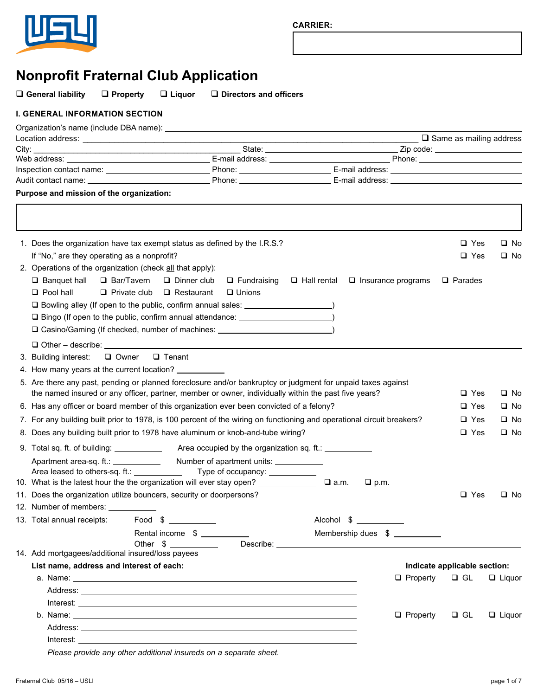**CARRIER:**



# **Nonprofit Fraternal Club Application**

q **General liability** q **Property** q **Liquor** q **Directors and officers**

## **I. GENERAL INFORMATION SECTION**

|                                                                                                                                                                                                                                      | $\Box$ Same as mailing address                |
|--------------------------------------------------------------------------------------------------------------------------------------------------------------------------------------------------------------------------------------|-----------------------------------------------|
|                                                                                                                                                                                                                                      |                                               |
|                                                                                                                                                                                                                                      |                                               |
|                                                                                                                                                                                                                                      |                                               |
|                                                                                                                                                                                                                                      |                                               |
| Purpose and mission of the organization:                                                                                                                                                                                             |                                               |
|                                                                                                                                                                                                                                      |                                               |
| 1. Does the organization have tax exempt status as defined by the I.R.S.?                                                                                                                                                            | $\Box$ Yes<br>□ No                            |
| If "No," are they operating as a nonprofit?                                                                                                                                                                                          | $\Box$ Yes<br>$\square$ No                    |
| 2. Operations of the organization (check all that apply):                                                                                                                                                                            |                                               |
| □ Bar/Tavern<br>$\Box$ Banquet hall<br>$\Box$ Dinner club<br>$\Box$ Hall rental<br>$\Box$ Insurance programs<br>$\Box$ Fundraising                                                                                                   | $\Box$ Parades                                |
| $\Box$ Pool hall<br>$\Box$ Private club $\Box$ Restaurant<br>$\Box$ Unions                                                                                                                                                           |                                               |
|                                                                                                                                                                                                                                      |                                               |
| $\Box$ Bingo (If open to the public, confirm annual attendance: $\Box$                                                                                                                                                               |                                               |
| □ Casino/Gaming (If checked, number of machines: _______________________________                                                                                                                                                     |                                               |
| $\Box$ Other – describe: $\Box$                                                                                                                                                                                                      |                                               |
| 3. Building interest:<br>Owner<br>$\Box$ Tenant                                                                                                                                                                                      |                                               |
| 4. How many years at the current location? ____________                                                                                                                                                                              |                                               |
| 5. Are there any past, pending or planned foreclosure and/or bankruptcy or judgment for unpaid taxes against                                                                                                                         |                                               |
| the named insured or any officer, partner, member or owner, individually within the past five years?                                                                                                                                 | $\square$ Yes<br>□ No                         |
| 6. Has any officer or board member of this organization ever been convicted of a felony?                                                                                                                                             | $\Box$ Yes<br>□ No                            |
|                                                                                                                                                                                                                                      |                                               |
| 7. For any building built prior to 1978, is 100 percent of the wiring on functioning and operational circuit breakers?                                                                                                               | $\Box$ Yes<br>□ No                            |
| 8. Does any building built prior to 1978 have aluminum or knob-and-tube wiring?                                                                                                                                                      | $\Box$ Yes<br>$\square$ No                    |
|                                                                                                                                                                                                                                      |                                               |
| Number of apartment units: ____________<br>Apartment area-sq. ft.: ____________                                                                                                                                                      |                                               |
| Area leased to others-sq. ft.: ____________<br>Type of occupancy: ____________                                                                                                                                                       |                                               |
| $\sqcup$ p.m.                                                                                                                                                                                                                        |                                               |
| 11. Does the organization utilize bouncers, security or doorpersons?                                                                                                                                                                 | $\Box$ Yes<br>⊔ No                            |
| 12. Number of members: ___________                                                                                                                                                                                                   |                                               |
| 13. Total annual receipts:<br>Alcohol \$                                                                                                                                                                                             |                                               |
| Rental income \$<br>Membership dues \$                                                                                                                                                                                               |                                               |
| Other \$                                                                                                                                                                                                                             |                                               |
| 14. Add mortgagees/additional insured/loss payees                                                                                                                                                                                    |                                               |
| List name, address and interest of each:                                                                                                                                                                                             | Indicate applicable section:                  |
|                                                                                                                                                                                                                                      | $\Box$ Property $\Box$ GL<br>$\Box$ Liquor    |
|                                                                                                                                                                                                                                      |                                               |
|                                                                                                                                                                                                                                      |                                               |
|                                                                                                                                                                                                                                      | $\Box$ Property<br>$\Box$ GL<br>$\Box$ Liquor |
| Address: National Address: National Address: National Address: National Address: National Address: N                                                                                                                                 |                                               |
| Interest: <u>The Community of the Community of the Community of the Community of the Community of the Community of the Community of the Community of the Community of the Community of the Community of the Community of the Com</u> |                                               |

*Please provide any other additional insureds on a separate sheet.*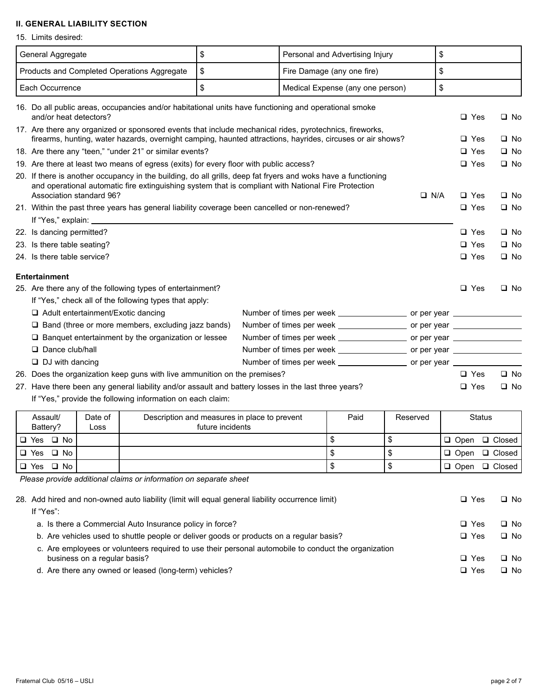### **II. GENERAL LIABILITY SECTION**

15. Limits desired:

| \$<br>\$<br>General Aggregate<br>Personal and Advertising Injury                        |                              |                                                                                                                                                   |                  |  |  |                                                                                  |            |              |                             |               |                      |
|-----------------------------------------------------------------------------------------|------------------------------|---------------------------------------------------------------------------------------------------------------------------------------------------|------------------|--|--|----------------------------------------------------------------------------------|------------|--------------|-----------------------------|---------------|----------------------|
|                                                                                         |                              | Products and Completed Operations Aggregate                                                                                                       | \$               |  |  | Fire Damage (any one fire)                                                       |            | \$           |                             |               |                      |
| Each Occurrence                                                                         |                              |                                                                                                                                                   | \$               |  |  | Medical Expense (any one person)                                                 |            | \$           |                             |               |                      |
| and/or heat detectors?                                                                  |                              | 16. Do all public areas, occupancies and/or habitational units have functioning and operational smoke                                             |                  |  |  |                                                                                  |            |              | □ Yes                       |               | □ No                 |
|                                                                                         |                              | 17. Are there any organized or sponsored events that include mechanical rides, pyrotechnics, fireworks,                                           |                  |  |  |                                                                                  |            |              |                             |               |                      |
|                                                                                         |                              | firearms, hunting, water hazards, overnight camping, haunted attractions, hayrides, circuses or air shows?                                        |                  |  |  |                                                                                  |            |              | $\square$ Yes               |               | $\square$ No         |
|                                                                                         |                              | 18. Are there any "teen," "under 21" or similar events?<br>19. Are there at least two means of egress (exits) for every floor with public access? |                  |  |  |                                                                                  |            |              | $\square$ Yes<br>$\Box$ Yes |               | □ No<br>$\square$ No |
|                                                                                         |                              | 20. If there is another occupancy in the building, do all grills, deep fat fryers and woks have a functioning                                     |                  |  |  |                                                                                  |            |              |                             |               |                      |
|                                                                                         |                              | and operational automatic fire extinguishing system that is compliant with National Fire Protection                                               |                  |  |  |                                                                                  |            |              |                             |               |                      |
| Association standard 96?                                                                |                              |                                                                                                                                                   |                  |  |  |                                                                                  | $\Box$ N/A |              | $\Box$ Yes                  |               | $\square$ No         |
|                                                                                         |                              | 21. Within the past three years has general liability coverage been cancelled or non-renewed?                                                     |                  |  |  |                                                                                  |            |              | $\square$ Yes               |               | $\square$ No         |
| If "Yes," explain: _                                                                    |                              |                                                                                                                                                   |                  |  |  |                                                                                  |            |              |                             |               |                      |
| 22. Is dancing permitted?                                                               |                              |                                                                                                                                                   |                  |  |  |                                                                                  |            |              | $\square$ Yes               |               | $\square$ No         |
| 23. Is there table seating?                                                             |                              |                                                                                                                                                   |                  |  |  |                                                                                  |            |              | $\square$ Yes               |               | $\square$ No         |
| 24. Is there table service?                                                             |                              |                                                                                                                                                   |                  |  |  |                                                                                  |            |              | $\Box$ Yes                  |               | □ No                 |
| Entertainment                                                                           |                              |                                                                                                                                                   |                  |  |  |                                                                                  |            |              |                             |               |                      |
|                                                                                         |                              | 25. Are there any of the following types of entertainment?                                                                                        |                  |  |  |                                                                                  |            |              | $\Box$ Yes                  |               | $\square$ No         |
|                                                                                         |                              | If "Yes," check all of the following types that apply:                                                                                            |                  |  |  |                                                                                  |            |              |                             |               |                      |
|                                                                                         |                              | $\Box$ Adult entertainment/Exotic dancing                                                                                                         |                  |  |  | Number of times per week _____________________ or per year _____________________ |            |              |                             |               |                      |
|                                                                                         |                              | $\Box$ Band (three or more members, excluding jazz bands)                                                                                         |                  |  |  | Number of times per week _________________________ or per year _________________ |            |              |                             |               |                      |
|                                                                                         |                              | $\Box$ Banquet entertainment by the organization or lessee                                                                                        |                  |  |  |                                                                                  |            |              |                             |               |                      |
| $\Box$ Dance club/hall                                                                  |                              |                                                                                                                                                   |                  |  |  | Number of times per week ______________________ or per year ____________________ |            |              |                             |               |                      |
| $\Box$ DJ with dancing                                                                  |                              |                                                                                                                                                   |                  |  |  | Number of times per week _______________________ or per year ______________      |            |              |                             |               |                      |
|                                                                                         |                              | 26. Does the organization keep guns with live ammunition on the premises?                                                                         |                  |  |  |                                                                                  |            |              | $\Box$ Yes                  |               | $\Box$ No            |
|                                                                                         |                              | 27. Have there been any general liability and/or assault and battery losses in the last three years?                                              |                  |  |  |                                                                                  |            |              | $\Box$ Yes                  |               | $\square$ No         |
|                                                                                         |                              | If "Yes," provide the following information on each claim:                                                                                        |                  |  |  |                                                                                  |            |              |                             |               |                      |
| Assault/<br>Battery?                                                                    | Date of<br>Loss              | Description and measures in place to prevent                                                                                                      | future incidents |  |  | Paid                                                                             | Reserved   |              |                             | <b>Status</b> |                      |
| □ Yes □ No                                                                              |                              |                                                                                                                                                   |                  |  |  | \$                                                                               | \$         |              | □ Open □ Closed             |               |                      |
| $\square$ No<br>$\square$ Yes                                                           |                              |                                                                                                                                                   |                  |  |  | \$                                                                               | \$         |              | $\Box$ Open                 |               | □ Closed             |
| □ Yes □ No                                                                              |                              |                                                                                                                                                   |                  |  |  | \$                                                                               | \$         |              | $\Box$ Open                 |               | □ Closed             |
|                                                                                         |                              | Please provide additional claims or information on separate sheet                                                                                 |                  |  |  |                                                                                  |            |              |                             |               |                      |
|                                                                                         |                              |                                                                                                                                                   |                  |  |  |                                                                                  |            |              |                             |               |                      |
| If "Yes":                                                                               |                              | 28. Add hired and non-owned auto liability (limit will equal general liability occurrence limit)                                                  |                  |  |  |                                                                                  |            |              | $\Box$ Yes                  |               | $\square$ No         |
|                                                                                         |                              | a. Is there a Commercial Auto Insurance policy in force?                                                                                          |                  |  |  |                                                                                  |            |              | $\Box$ Yes                  |               | $\square$ No         |
| b. Are vehicles used to shuttle people or deliver goods or products on a regular basis? |                              |                                                                                                                                                   |                  |  |  | $\square$ Yes                                                                    |            | $\square$ No |                             |               |                      |
|                                                                                         |                              | c. Are employees or volunteers required to use their personal automobile to conduct the organization                                              |                  |  |  |                                                                                  |            |              |                             |               |                      |
|                                                                                         | business on a regular basis? |                                                                                                                                                   |                  |  |  |                                                                                  |            |              | $\Box$ Yes                  |               | $\square$ No         |
|                                                                                         |                              | d. Are there any owned or leased (long-term) vehicles?                                                                                            |                  |  |  |                                                                                  |            |              | $\Box$ Yes                  |               | $\square$ No         |
|                                                                                         |                              |                                                                                                                                                   |                  |  |  |                                                                                  |            |              |                             |               |                      |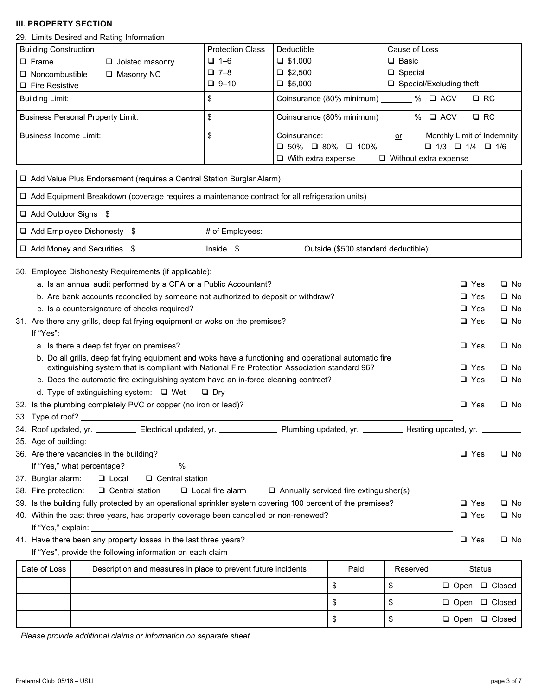#### **III. PROPERTY SECTION**

#### 29. Limits Desired and Rating Information

| <b>Protection Class</b> | Deductible                        | Cause of Loss                           |
|-------------------------|-----------------------------------|-----------------------------------------|
| $\Box$ 1-6              | $\Box$ \$1,000                    | $\Box$ Basic                            |
| $\Box$ 7-8              | $\Box$ \$2,500                    | $\Box$ Special                          |
| $\Box$ 9-10             | $\Box$ \$5,000                    | $\Box$ Special/Excluding theft          |
|                         | Coinsurance (80% minimum)         | $%$ $\Box$ ACV<br>$\square$ RC          |
| Φ                       | Coinsurance (80% minimum)         | $\square$ ACV<br>$\square$ RC<br>$\%$   |
| Φ                       | Coinsurance:                      | Monthly Limit of Indemnity<br><u>or</u> |
|                         | $\Box$ 50% $\Box$ 80% $\Box$ 100% | $\Box$ 1/4 $\Box$ 1/6<br>$\Box$ 1/3     |
|                         | $\Box$ With extra expense         | $\Box$ Without extra expense            |
|                         |                                   |                                         |

|                       |                                                                                                       |                                                                  | □ Add Value Plus Endorsement (requires a Central Station Burglar Alarm)                                                          |  |                                               |          |                           |               |              |  |
|-----------------------|-------------------------------------------------------------------------------------------------------|------------------------------------------------------------------|----------------------------------------------------------------------------------------------------------------------------------|--|-----------------------------------------------|----------|---------------------------|---------------|--------------|--|
|                       | $\Box$ Add Equipment Breakdown (coverage requires a maintenance contract for all refrigeration units) |                                                                  |                                                                                                                                  |  |                                               |          |                           |               |              |  |
| Add Outdoor Signs \$  |                                                                                                       |                                                                  |                                                                                                                                  |  |                                               |          |                           |               |              |  |
|                       | □ Add Employee Dishonesty \$                                                                          |                                                                  | # of Employees:                                                                                                                  |  |                                               |          |                           |               |              |  |
|                       | $\Box$ Add Money and Securities $$$                                                                   |                                                                  | Inside \$                                                                                                                        |  | Outside (\$500 standard deductible):          |          |                           |               |              |  |
|                       |                                                                                                       | 30. Employee Dishonesty Requirements (if applicable):            |                                                                                                                                  |  |                                               |          |                           |               |              |  |
|                       |                                                                                                       | a. Is an annual audit performed by a CPA or a Public Accountant? |                                                                                                                                  |  |                                               |          |                           | $\square$ Yes | □ No         |  |
|                       |                                                                                                       |                                                                  | b. Are bank accounts reconciled by someone not authorized to deposit or withdraw?                                                |  |                                               |          |                           | □ Yes         | $\square$ No |  |
|                       |                                                                                                       | c. Is a countersignature of checks required?                     |                                                                                                                                  |  |                                               |          |                           | $\Box$ Yes    | $\square$ No |  |
|                       |                                                                                                       |                                                                  | 31. Are there any grills, deep fat frying equipment or woks on the premises?                                                     |  |                                               |          |                           | $\Box$ Yes    | $\square$ No |  |
| If "Yes":             |                                                                                                       |                                                                  |                                                                                                                                  |  |                                               |          |                           |               |              |  |
|                       | a. Is there a deep fat fryer on premises?                                                             |                                                                  |                                                                                                                                  |  |                                               |          |                           | $\Box$ Yes    | $\square$ No |  |
|                       |                                                                                                       |                                                                  | b. Do all grills, deep fat frying equipment and woks have a functioning and operational automatic fire                           |  |                                               |          |                           |               |              |  |
|                       |                                                                                                       |                                                                  | extinguishing system that is compliant with National Fire Protection Association standard 96?                                    |  |                                               |          |                           | $\Box$ Yes    | $\square$ No |  |
|                       |                                                                                                       |                                                                  | c. Does the automatic fire extinguishing system have an in-force cleaning contract?                                              |  |                                               |          |                           | $\Box$ Yes    | $\square$ No |  |
|                       |                                                                                                       | d. Type of extinguishing system: □ Wet                           | $\Box$ Dry                                                                                                                       |  |                                               |          |                           |               |              |  |
|                       |                                                                                                       | 32. Is the plumbing completely PVC or copper (no iron or lead)?  |                                                                                                                                  |  |                                               |          |                           | $\Box$ Yes    | $\square$ No |  |
|                       |                                                                                                       |                                                                  |                                                                                                                                  |  |                                               |          |                           |               |              |  |
|                       |                                                                                                       |                                                                  | 34. Roof updated, yr. ___________ Electrical updated, yr. _______________ Plumbing updated, yr. _________ Heating updated, yr. _ |  |                                               |          |                           |               |              |  |
|                       |                                                                                                       |                                                                  |                                                                                                                                  |  |                                               |          |                           |               |              |  |
|                       | 36. Are there vacancies in the building?                                                              |                                                                  |                                                                                                                                  |  |                                               |          |                           | $\Box$ Yes    | $\square$ No |  |
|                       |                                                                                                       | If "Yes," what percentage? ____________ %                        |                                                                                                                                  |  |                                               |          |                           |               |              |  |
| 37. Burglar alarm:    | $\Box$ Local                                                                                          | $\Box$ Central station                                           |                                                                                                                                  |  |                                               |          |                           |               |              |  |
| 38. Fire protection:  |                                                                                                       | $\Box$ Central station                                           | $\Box$ Local fire alarm                                                                                                          |  | $\Box$ Annually serviced fire extinguisher(s) |          |                           |               |              |  |
|                       |                                                                                                       |                                                                  | 39. Is the building fully protected by an operational sprinkler system covering 100 percent of the premises?                     |  |                                               |          |                           | $\Box$ Yes    | $\Box$ No    |  |
|                       |                                                                                                       |                                                                  | 40. Within the past three years, has property coverage been cancelled or non-renewed?                                            |  |                                               |          |                           | $\Box$ Yes    | $\square$ No |  |
| If "Yes," explain: __ |                                                                                                       |                                                                  |                                                                                                                                  |  |                                               |          |                           |               |              |  |
|                       |                                                                                                       | 41. Have there been any property losses in the last three years? |                                                                                                                                  |  |                                               |          |                           | $\Box$ Yes    | $\square$ No |  |
|                       |                                                                                                       | If "Yes", provide the following information on each claim        |                                                                                                                                  |  |                                               |          |                           |               |              |  |
| Date of Loss          |                                                                                                       |                                                                  | Description and measures in place to prevent future incidents                                                                    |  | Paid                                          | Reserved |                           | <b>Status</b> |              |  |
|                       |                                                                                                       |                                                                  |                                                                                                                                  |  | \$                                            | \$       | $\Box$ Open $\Box$ Closed |               |              |  |
|                       |                                                                                                       |                                                                  |                                                                                                                                  |  | \$                                            | \$       | $\Box$ Open $\Box$ Closed |               |              |  |
|                       |                                                                                                       |                                                                  |                                                                                                                                  |  | \$                                            | \$       | $\Box$ Open $\Box$ Closed |               |              |  |

*Please provide additional claims or information on separate sheet*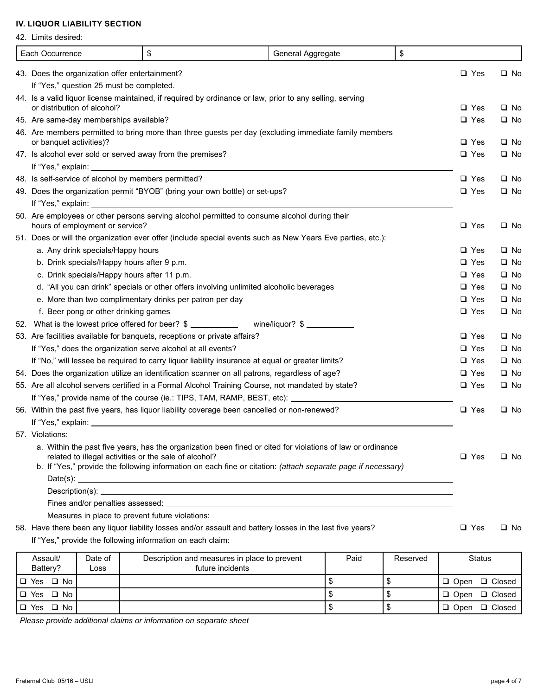#### **IV. LIQUOR LIABILITY SECTION**

42. Limits desired:

|                                                                                                           | Each Occurrence                                              |                                   | \$                                                                        | General Aggregate                                                                                            |            | \$         |                          |              |
|-----------------------------------------------------------------------------------------------------------|--------------------------------------------------------------|-----------------------------------|---------------------------------------------------------------------------|--------------------------------------------------------------------------------------------------------------|------------|------------|--------------------------|--------------|
|                                                                                                           |                                                              |                                   | 43. Does the organization offer entertainment?                            |                                                                                                              |            |            | $\Box$ Yes               | $\square$ No |
|                                                                                                           |                                                              |                                   | If "Yes," question 25 must be completed.                                  |                                                                                                              |            |            |                          |              |
|                                                                                                           | or distribution of alcohol?                                  |                                   |                                                                           | 44. Is a valid liquor license maintained, if required by ordinance or law, prior to any selling, serving     |            |            | $\square$ Yes            | $\square$ No |
|                                                                                                           |                                                              |                                   | 45. Are same-day memberships available?                                   |                                                                                                              |            |            | $\Box$ Yes               | $\square$ No |
|                                                                                                           |                                                              |                                   |                                                                           | 46. Are members permitted to bring more than three guests per day (excluding immediate family members        |            |            |                          |              |
|                                                                                                           | or banquet activities)?                                      |                                   |                                                                           |                                                                                                              |            |            | $\Box$ Yes               | $\square$ No |
|                                                                                                           |                                                              |                                   | 47. Is alcohol ever sold or served away from the premises?                |                                                                                                              |            |            | $\Box$ Yes               | □ No         |
|                                                                                                           |                                                              |                                   |                                                                           |                                                                                                              |            |            |                          |              |
|                                                                                                           |                                                              |                                   | 48. Is self-service of alcohol by members permitted?                      |                                                                                                              |            |            | $\Box$ Yes               | $\square$ No |
|                                                                                                           |                                                              |                                   |                                                                           | 49. Does the organization permit "BYOB" (bring your own bottle) or set-ups?                                  |            |            | $\Box$ Yes               | $\square$ No |
|                                                                                                           |                                                              |                                   |                                                                           |                                                                                                              |            |            |                          |              |
|                                                                                                           |                                                              |                                   |                                                                           | 50. Are employees or other persons serving alcohol permitted to consume alcohol during their                 |            |            |                          |              |
|                                                                                                           | hours of employment or service?                              |                                   |                                                                           |                                                                                                              |            |            | $\Box$ Yes               | $\square$ No |
|                                                                                                           |                                                              |                                   |                                                                           | 51. Does or will the organization ever offer (include special events such as New Years Eve parties, etc.):   |            |            |                          |              |
|                                                                                                           |                                                              | a. Any drink specials/Happy hours |                                                                           |                                                                                                              |            |            | $\Box$ Yes               | □ No         |
|                                                                                                           |                                                              |                                   | b. Drink specials/Happy hours after 9 p.m.                                |                                                                                                              |            |            | $\Box$ Yes               | $\square$ No |
|                                                                                                           |                                                              |                                   | c. Drink specials/Happy hours after 11 p.m.                               |                                                                                                              |            |            | $\Box$ Yes               | $\square$ No |
|                                                                                                           |                                                              |                                   |                                                                           | d. "All you can drink" specials or other offers involving unlimited alcoholic beverages                      |            |            | $\Box$ Yes               | $\square$ No |
|                                                                                                           |                                                              |                                   | e. More than two complimentary drinks per patron per day                  |                                                                                                              |            |            | $\Box$ Yes               | $\square$ No |
|                                                                                                           |                                                              |                                   | f. Beer pong or other drinking games                                      |                                                                                                              |            |            | $\Box$ Yes               | $\square$ No |
| 52.                                                                                                       |                                                              |                                   | What is the lowest price offered for beer? \$                             | wine/liquor? $$$                                                                                             |            |            |                          |              |
|                                                                                                           |                                                              |                                   | 53. Are facilities available for banquets, receptions or private affairs? |                                                                                                              |            |            | $\Box$ Yes<br>$\Box$ Yes | $\square$ No |
|                                                                                                           | If "Yes," does the organization serve alcohol at all events? |                                   |                                                                           |                                                                                                              |            |            |                          | □ No         |
|                                                                                                           |                                                              |                                   |                                                                           | If "No," will lessee be required to carry liquor liability insurance at equal or greater limits?             |            |            | $\Box$ Yes               | $\square$ No |
|                                                                                                           |                                                              |                                   |                                                                           | 54. Does the organization utilize an identification scanner on all patrons, regardless of age?               |            |            | $\Box$ Yes               | $\square$ No |
| 55. Are all alcohol servers certified in a Formal Alcohol Training Course, not mandated by state?         |                                                              |                                   |                                                                           |                                                                                                              | $\Box$ Yes | □ No       |                          |              |
|                                                                                                           |                                                              |                                   |                                                                           | If "Yes," provide name of the course (ie.: TIPS, TAM, RAMP, BEST, etc): ____                                 |            |            |                          |              |
|                                                                                                           |                                                              |                                   |                                                                           | 56. Within the past five years, has liquor liability coverage been cancelled or non-renewed?                 |            |            | $\Box$ Yes               | $\square$ No |
|                                                                                                           |                                                              |                                   |                                                                           |                                                                                                              |            |            |                          |              |
|                                                                                                           | 57. Violations:                                              |                                   |                                                                           |                                                                                                              |            |            |                          |              |
|                                                                                                           |                                                              |                                   | related to illegal activities or the sale of alcohol?                     | a. Within the past five years, has the organization been fined or cited for violations of law or ordinance   |            |            | $\square$ Yes            | □ No         |
|                                                                                                           |                                                              |                                   |                                                                           | b. If "Yes," provide the following information on each fine or citation: (attach separate page if necessary) |            |            |                          |              |
|                                                                                                           |                                                              |                                   |                                                                           | Date(s): $\qquad \qquad$                                                                                     |            |            |                          |              |
|                                                                                                           |                                                              |                                   |                                                                           |                                                                                                              |            |            |                          |              |
|                                                                                                           |                                                              |                                   |                                                                           |                                                                                                              |            |            |                          |              |
|                                                                                                           |                                                              |                                   |                                                                           | Measures in place to prevent future violations: ________________________________                             |            |            |                          |              |
| 58. Have there been any liquor liability losses and/or assault and battery losses in the last five years? |                                                              |                                   |                                                                           |                                                                                                              |            | $\Box$ Yes | $\square$ No             |              |
|                                                                                                           |                                                              |                                   | If "Yes," provide the following information on each claim:                |                                                                                                              |            |            |                          |              |
|                                                                                                           | Assault/<br>Battery?                                         | Date of<br>Loss                   |                                                                           | Description and measures in place to prevent<br>future incidents                                             | Paid       | Reserved   | <b>Status</b>            |              |
|                                                                                                           | □ Yes □ No                                                   |                                   |                                                                           |                                                                                                              | \$         | \$         | □ Open □ Closed          |              |
|                                                                                                           | □ Yes □ No                                                   |                                   |                                                                           |                                                                                                              | \$         | \$         | □ Open □ Closed          |              |

q Yes q No \$ \$ q Open q Closed

*Please provide additional claims or information on separate sheet*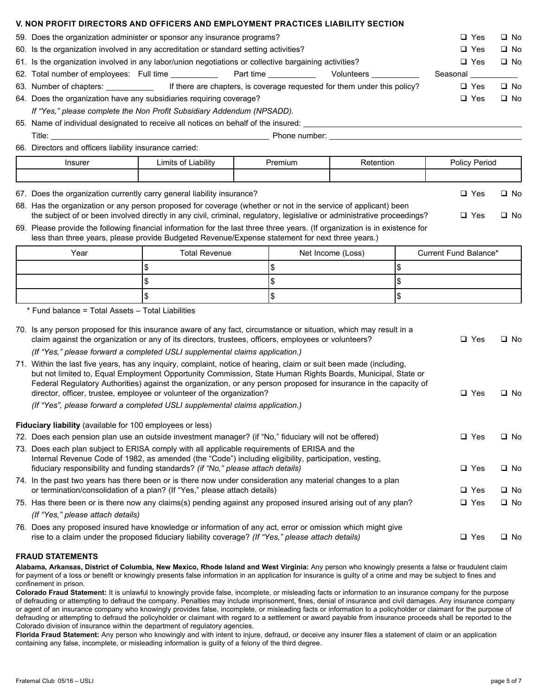| V. NON PROFIT DIRECTORS AND OFFICERS AND EMPLOYMENT PRACTICES LIABILITY SECTION       |            |      |  |  |  |
|---------------------------------------------------------------------------------------|------------|------|--|--|--|
| 59. Does the organization administer or sponsor any insurance programs?               | □ Yes      | ⊟ No |  |  |  |
| 60. Is the organization involved in any accreditation or standard setting activities? | □ Yes □ No |      |  |  |  |

|  |  |  | 61. Is the organization involved in any labor/union negotiations or collective bargaining activities? | □ Yes □ No |  |
|--|--|--|-------------------------------------------------------------------------------------------------------|------------|--|
|--|--|--|-------------------------------------------------------------------------------------------------------|------------|--|

62. Total number of employees: Full time \_\_\_\_\_\_\_\_\_\_\_\_ Part time \_\_\_\_\_\_\_\_\_\_\_ Volunteers \_\_\_\_\_\_\_\_\_\_\_ Seasonal

63. Number of chapters: If there are chapters, is coverage requested for them under this policy?  $\square$  Yes  $\square$  No

64. Does the organization have any subsidiaries requiring coverage?  $\Box$  Yes  $\Box$  Yes  $\Box$  No

| If "Yes," please complete the Non Profit Subsidiary Addendum (NPSADD). |  |  |
|------------------------------------------------------------------------|--|--|
|------------------------------------------------------------------------|--|--|

65. Name of individual designated to receive all notices on behalf of the insured: Title: Phone number:

66. Directors and officers liability insurance carried:

| Insurer | .<br>. .<br>∠imits ∈<br>.iabilit\ | remium | ntior<br>. .<br>`` | Policy<br>Period |
|---------|-----------------------------------|--------|--------------------|------------------|
|         |                                   |        |                    |                  |

67. Does the organization currently carry general liability insurance?  $\Box$  Yes  $\Box$  No

68. Has the organization or any person proposed for coverage (whether or not in the service of applicant) been the subject of or been involved directly in any civil, criminal, regulatory, legislative or administrative proceedings?  $\Box$  Yes  $\Box$  No

#### 69. Please provide the following financial information for the last three three years. (If organization is in existence for less than three years, please provide Budgeted Revenue/Expense statement for next three years.)

| Year | <b>Total Revenue</b> | Net Income (Loss) | Current Fund Balance* |  |
|------|----------------------|-------------------|-----------------------|--|
|      |                      |                   |                       |  |
|      |                      |                   |                       |  |
|      |                      |                   |                       |  |

\* Fund balance = Total Assets – Total Liabilities

| 70. Is any person proposed for this insurance aware of any fact, circumstance or situation, which may result in a<br>claim against the organization or any of its directors, trustees, officers, employees or volunteers?                                                                                                                                                                                                        | $\Box$ Yes | $\square$ No |
|----------------------------------------------------------------------------------------------------------------------------------------------------------------------------------------------------------------------------------------------------------------------------------------------------------------------------------------------------------------------------------------------------------------------------------|------------|--------------|
| (If "Yes," please forward a completed USLI supplemental claims application.)                                                                                                                                                                                                                                                                                                                                                     |            |              |
| 71. Within the last five years, has any inguiry, complaint, notice of hearing, claim or suit been made (including,<br>but not limited to, Equal Employment Opportunity Commission, State Human Rights Boards, Municipal, State or<br>Federal Regulatory Authorities) against the organization, or any person proposed for insurance in the capacity of<br>director, officer, trustee, employee or volunteer of the organization? | $\Box$ Yes | $\square$ No |
| (If "Yes", please forward a completed USLI supplemental claims application.)                                                                                                                                                                                                                                                                                                                                                     |            |              |
| Fiduciary liability (available for 100 employees or less)                                                                                                                                                                                                                                                                                                                                                                        |            |              |
| 72. Does each pension plan use an outside investment manager? (if "No," fiduciary will not be offered)                                                                                                                                                                                                                                                                                                                           | $\Box$ Yes | $\Box$ No    |
| 73. Does each plan subject to ERISA comply with all applicable requirements of ERISA and the<br>Internal Revenue Code of 1982, as amended (the "Code") including eligibility, participation, vesting,<br>fiduciary responsibility and funding standards? (if "No," please attach details)                                                                                                                                        | $\Box$ Yes | $\square$ No |
| 74. In the past two years has there been or is there now under consideration any material changes to a plan<br>or termination/consolidation of a plan? (If "Yes," please attach details)                                                                                                                                                                                                                                         | $\Box$ Yes | $\square$ No |
| 75. Has there been or is there now any claims(s) pending against any proposed insured arising out of any plan?                                                                                                                                                                                                                                                                                                                   | $\Box$ Yes | $\square$ No |
| (If "Yes," please attach details)                                                                                                                                                                                                                                                                                                                                                                                                |            |              |
| 76. Does any proposed insured have knowledge or information of any act, error or omission which might give<br>rise to a claim under the proposed fiduciary liability coverage? (If "Yes," please attach details)                                                                                                                                                                                                                 | $\Box$ Yes | $\square$ No |

#### **FRAUD STATEMENTS**

**Alabama, Arkansas, District of Columbia, New Mexico, Rhode Island and West Virginia:** Any person who knowingly presents a false or fraudulent claim for payment of a loss or benefit or knowingly presents false information in an application for insurance is guilty of a crime and may be subject to fines and confinement in prison.

**Colorado Fraud Statement:** It is unlawful to knowingly provide false, incomplete, or misleading facts or information to an insurance company for the purpose of defrauding or attempting to defraud the company. Penalties may include imprisonment, fines, denial of insurance and civil damages. Any insurance company or agent of an insurance company who knowingly provides false, incomplete, or misleading facts or information to a policyholder or claimant for the purpose of defrauding or attempting to defraud the policyholder or claimant with regard to a settlement or award payable from insurance proceeds shall be reported to the Colorado division of insurance within the department of regulatory agencies.

**Florida Fraud Statement:** Any person who knowingly and with intent to injure, defraud, or deceive any insurer files a statement of claim or an application containing any false, incomplete, or misleading information is guilty of a felony of the third degree.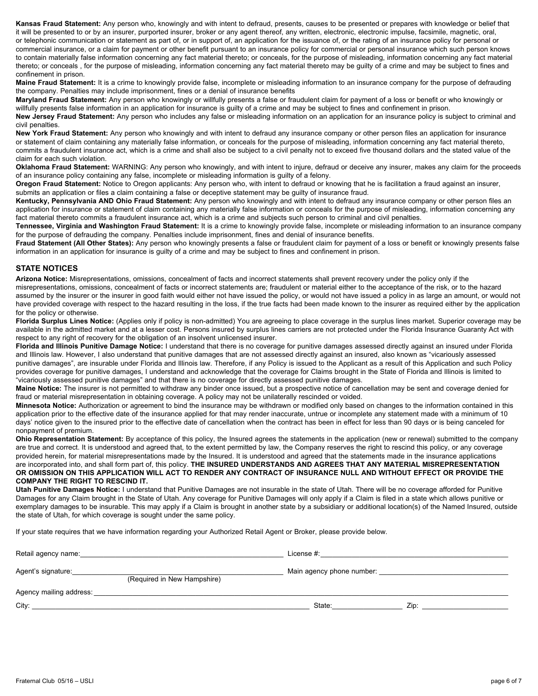Kansas Fraud Statement: Any person who, knowingly and with intent to defraud, presents, causes to be presented or prepares with knowledge or belief that it will be presented to or by an insurer, purported insurer, broker or any agent thereof, any written, electronic, electronic impulse, facsimile, magnetic, oral, or telephonic communication or statement as part of, or in support of, an application for the issuance of, or the rating of an insurance policy for personal or commercial insurance, or a claim for payment or other benefit pursuant to an insurance policy for commercial or personal insurance which such person knows to contain materially false information concerning any fact material thereto; or conceals, for the purpose of misleading, information concerning any fact material thereto; or conceals , for the purpose of misleading, information concerning any fact material thereto may be guilty of a crime and may be subject to fines and confinement in prison.

Maine Fraud Statement: It is a crime to knowingly provide false, incomplete or misleading information to an insurance company for the purpose of defrauding the company. Penalties may include imprisonment, fines or a denial of insurance benefits

**Maryland Fraud Statement:** Any person who knowingly or willfully presents a false or fraudulent claim for payment of a loss or benefit or who knowingly or willfully presents false information in an application for insurance is guilty of a crime and may be subject to fines and confinement in prison.

**New Jersey Fraud Statement:** Any person who includes any false or misleading information on an application for an insurance policy is subject to criminal and civil penalties.

**New York Fraud Statement:** Any person who knowingly and with intent to defraud any insurance company or other person files an application for insurance or statement of claim containing any materially false information, or conceals for the purpose of misleading, information concerning any fact material thereto, commits a fraudulent insurance act, which is a crime and shall also be subject to a civil penalty not to exceed five thousand dollars and the stated value of the claim for each such violation.

**Oklahoma Fraud Statement:** WARNING: Any person who knowingly, and with intent to injure, defraud or deceive any insurer, makes any claim for the proceeds of an insurance policy containing any false, incomplete or misleading information is guilty of a felony.

**Oregon Fraud Statement:** Notice to Oregon applicants: Any person who, with intent to defraud or knowing that he is facilitation a fraud against an insurer, submits an application or files a claim containing a false or deceptive statement may be guilty of insurance fraud.

**Kentucky, Pennsylvania AND Ohio Fraud Statement:** Any person who knowingly and with intent to defraud any insurance company or other person files an application for insurance or statement of claim containing any materially false information or conceals for the purpose of misleading, information concerning any fact material thereto commits a fraudulent insurance act, which is a crime and subjects such person to criminal and civil penalties.

**Tennessee, Virginia and Washington Fraud Statement:** It is a crime to knowingly provide false, incomplete or misleading information to an insurance company for the purpose of defrauding the company. Penalties include imprisonment, fines and denial of insurance benefits.

**Fraud Statement (All Other States):** Any person who knowingly presents a false or fraudulent claim for payment of a loss or benefit or knowingly presents false information in an application for insurance is guilty of a crime and may be subject to fines and confinement in prison.

#### **STATE NOTICES**

**Arizona Notice:** Misrepresentations, omissions, concealment of facts and incorrect statements shall prevent recovery under the policy only if the misrepresentations, omissions, concealment of facts or incorrect statements are; fraudulent or material either to the acceptance of the risk, or to the hazard assumed by the insurer or the insurer in good faith would either not have issued the policy, or would not have issued a policy in as large an amount, or would not have provided coverage with respect to the hazard resulting in the loss, if the true facts had been made known to the insurer as required either by the application for the policy or otherwise.

**Florida Surplus Lines Notice:** (Applies only if policy is non-admitted) You are agreeing to place coverage in the surplus lines market. Superior coverage may be available in the admitted market and at a lesser cost. Persons insured by surplus lines carriers are not protected under the Florida Insurance Guaranty Act with respect to any right of recovery for the obligation of an insolvent unlicensed insurer.

**Florida and Illinois Punitive Damage Notice:** I understand that there is no coverage for punitive damages assessed directly against an insured under Florida and Illinois law. However, I also understand that punitive damages that are not assessed directly against an insured, also known as "vicariously assessed punitive damages", are insurable under Florida and Illinois law. Therefore, if any Policy is issued to the Applicant as a result of this Application and such Policy provides coverage for punitive damages, I understand and acknowledge that the coverage for Claims brought in the State of Florida and Illinois is limited to "vicariously assessed punitive damages" and that there is no coverage for directly assessed punitive damages.

**Maine Notice:** The insurer is not permitted to withdraw any binder once issued, but a prospective notice of cancellation may be sent and coverage denied for fraud or material misrepresentation in obtaining coverage. A policy may not be unilaterally rescinded or voided.

**Minnesota Notice:** Authorization or agreement to bind the insurance may be withdrawn or modified only based on changes to the information contained in this application prior to the effective date of the insurance applied for that may render inaccurate, untrue or incomplete any statement made with a minimum of 10 days' notice given to the insured prior to the effective date of cancellation when the contract has been in effect for less than 90 days or is being canceled for nonpayment of premium.

**Ohio Representation Statement:** By acceptance of this policy, the Insured agrees the statements in the application (new or renewal) submitted to the company are true and correct. It is understood and agreed that, to the extent permitted by law, the Company reserves the right to rescind this policy, or any coverage provided herein, for material misrepresentations made by the Insured. It is understood and agreed that the statements made in the insurance applications are incorporated into, and shall form part of, this policy. **THE INSURED UNDERSTANDS AND AGREES THAT ANY MATERIAL MISREPRESENTATION OR OMISSION ON THIS APPLICATION WILL ACT TO RENDER ANY CONTRACT OF INSURANCE NULL AND WITHOUT EFFECT OR PROVIDE THE COMPANY THE RIGHT TO RESCIND IT.**

**Utah Punitive Damages Notice:** I understand that Punitive Damages are not insurable in the state of Utah. There will be no coverage afforded for Punitive Damages for any Claim brought in the State of Utah. Any coverage for Punitive Damages will only apply if a Claim is filed in a state which allows punitive or exemplary damages to be insurable. This may apply if a Claim is brought in another state by a subsidiary or additional location(s) of the Named Insured, outside the state of Utah, for which coverage is sought under the same policy.

If your state requires that we have information regarding your Authorized Retail Agent or Broker, please provide below.

| Retail agency name:<br><u> 1989 - Johann Stein, mars an de Frankryk (f. 1989)</u> | License #:                |      |
|-----------------------------------------------------------------------------------|---------------------------|------|
| Agent's signature:<br>(Required in New Hampshire)                                 | Main agency phone number: |      |
| Agency mailing address:                                                           |                           |      |
| City:                                                                             | State:                    | Zip: |